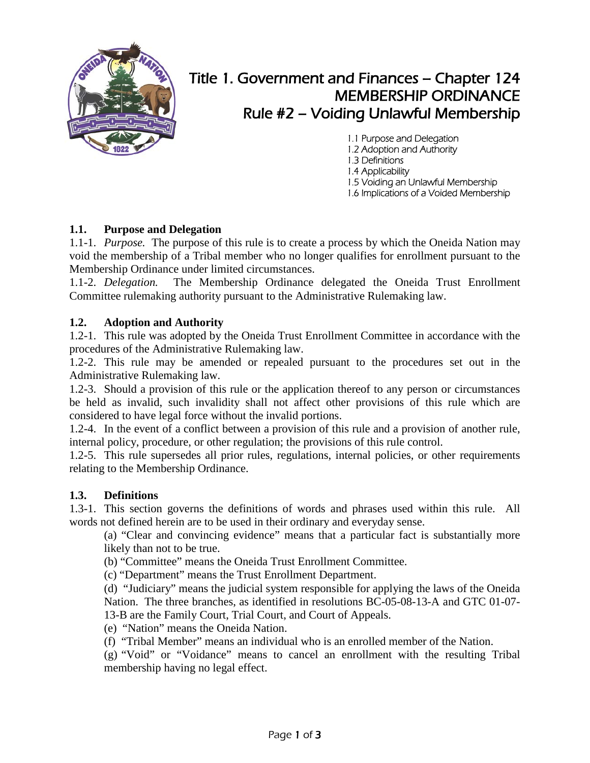

# Title 1. Government and Finances – Chapter 124 MEMBERSHIP ORDINANCE Rule #2 – Voiding Unlawful Membership

1.1 Purpose and Delegation 1.2 Adoption and Authority 1.3 Definitions 1.4 Applicability 1.5 Voiding an Unlawful Membership 1.6 Implications of a Voided Membership

## **1.1. Purpose and Delegation**

1.1-1. *Purpose.* The purpose of this rule is to create a process by which the Oneida Nation may void the membership of a Tribal member who no longer qualifies for enrollment pursuant to the Membership Ordinance under limited circumstances.

1.1-2. *Delegation.* The Membership Ordinance delegated the Oneida Trust Enrollment Committee rulemaking authority pursuant to the Administrative Rulemaking law.

### **1.2. Adoption and Authority**

1.2-1. This rule was adopted by the Oneida Trust Enrollment Committee in accordance with the procedures of the Administrative Rulemaking law.

1.2-2. This rule may be amended or repealed pursuant to the procedures set out in the Administrative Rulemaking law.

1.2-3. Should a provision of this rule or the application thereof to any person or circumstances be held as invalid, such invalidity shall not affect other provisions of this rule which are considered to have legal force without the invalid portions.

1.2-4. In the event of a conflict between a provision of this rule and a provision of another rule, internal policy, procedure, or other regulation; the provisions of this rule control.

1.2-5. This rule supersedes all prior rules, regulations, internal policies, or other requirements relating to the Membership Ordinance.

#### **1.3. Definitions**

1.3-1. This section governs the definitions of words and phrases used within this rule. All words not defined herein are to be used in their ordinary and everyday sense.

(a) "Clear and convincing evidence" means that a particular fact is substantially more likely than not to be true.

(b) "Committee" means the Oneida Trust Enrollment Committee.

(c) "Department" means the Trust Enrollment Department.

(d) "Judiciary" means the judicial system responsible for applying the laws of the Oneida Nation. The three branches, as identified in resolutions BC-05-08-13-A and GTC 01-07- 13-B are the Family Court, Trial Court, and Court of Appeals.

(e) "Nation" means the Oneida Nation.

(f) "Tribal Member" means an individual who is an enrolled member of the Nation.

(g) "Void" or "Voidance" means to cancel an enrollment with the resulting Tribal membership having no legal effect.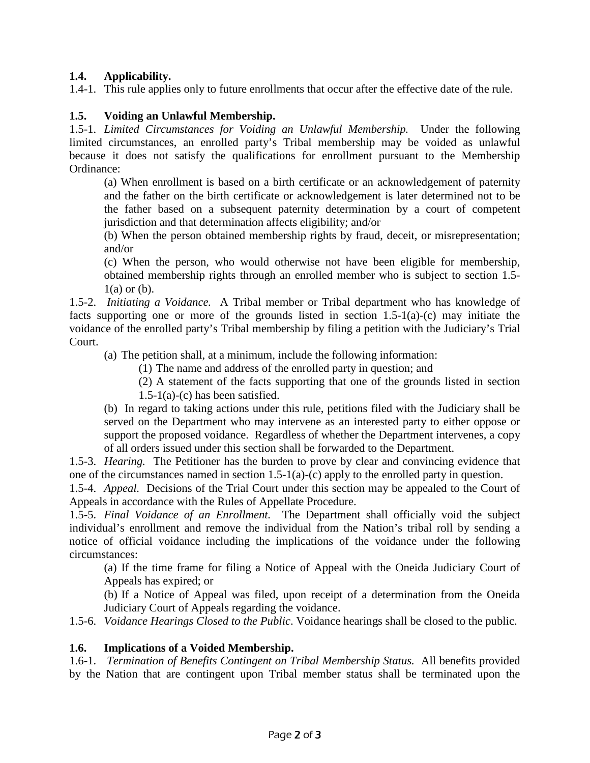## **1.4. Applicability.**

1.4-1. This rule applies only to future enrollments that occur after the effective date of the rule.

## **1.5. Voiding an Unlawful Membership.**

1.5-1. *Limited Circumstances for Voiding an Unlawful Membership.* Under the following limited circumstances, an enrolled party's Tribal membership may be voided as unlawful because it does not satisfy the qualifications for enrollment pursuant to the Membership Ordinance:

(a) When enrollment is based on a birth certificate or an acknowledgement of paternity and the father on the birth certificate or acknowledgement is later determined not to be the father based on a subsequent paternity determination by a court of competent jurisdiction and that determination affects eligibility; and/or

(b) When the person obtained membership rights by fraud, deceit, or misrepresentation; and/or

(c) When the person, who would otherwise not have been eligible for membership, obtained membership rights through an enrolled member who is subject to section 1.5-  $1(a)$  or  $(b)$ .

1.5-2. *Initiating a Voidance.* A Tribal member or Tribal department who has knowledge of facts supporting one or more of the grounds listed in section 1.5-1(a)-(c) may initiate the voidance of the enrolled party's Tribal membership by filing a petition with the Judiciary's Trial Court.

(a) The petition shall, at a minimum, include the following information:

(1) The name and address of the enrolled party in question; and

(2) A statement of the facts supporting that one of the grounds listed in section  $1.5-1(a)-(c)$  has been satisfied.

(b) In regard to taking actions under this rule, petitions filed with the Judiciary shall be served on the Department who may intervene as an interested party to either oppose or support the proposed voidance. Regardless of whether the Department intervenes, a copy of all orders issued under this section shall be forwarded to the Department.

1.5-3. *Hearing.* The Petitioner has the burden to prove by clear and convincing evidence that one of the circumstances named in section 1.5-1(a)-(c) apply to the enrolled party in question.

1.5-4. *Appeal.* Decisions of the Trial Court under this section may be appealed to the Court of Appeals in accordance with the Rules of Appellate Procedure.

1.5-5. *Final Voidance of an Enrollment.* The Department shall officially void the subject individual's enrollment and remove the individual from the Nation's tribal roll by sending a notice of official voidance including the implications of the voidance under the following circumstances:

(a) If the time frame for filing a Notice of Appeal with the Oneida Judiciary Court of Appeals has expired; or

(b) If a Notice of Appeal was filed, upon receipt of a determination from the Oneida Judiciary Court of Appeals regarding the voidance.

1.5-6. *Voidance Hearings Closed to the Public*. Voidance hearings shall be closed to the public.

## **1.6. Implications of a Voided Membership.**

1.6-1. *Termination of Benefits Contingent on Tribal Membership Status.* All benefits provided by the Nation that are contingent upon Tribal member status shall be terminated upon the